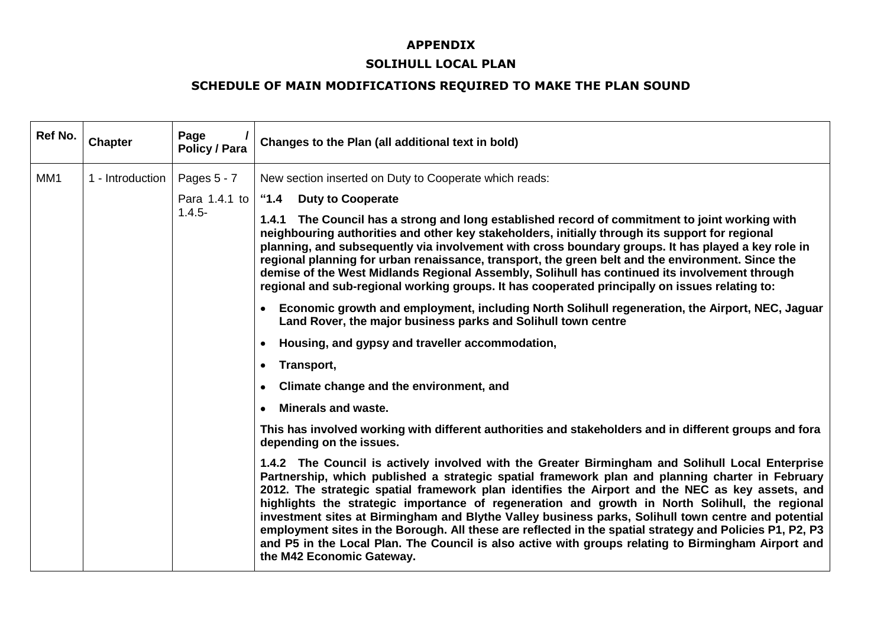### **APPENDIX**

#### **SOLIHULL LOCAL PLAN**

### **SCHEDULE OF MAIN MODIFICATIONS REQUIRED TO MAKE THE PLAN SOUND**

| Ref No. | <b>Chapter</b>   | Page<br><b>Policy / Para</b> | Changes to the Plan (all additional text in bold)                                                                                                                                                                                                                                                                                                                                                                                                                                                                                                                                                                                                                                                                                                                 |
|---------|------------------|------------------------------|-------------------------------------------------------------------------------------------------------------------------------------------------------------------------------------------------------------------------------------------------------------------------------------------------------------------------------------------------------------------------------------------------------------------------------------------------------------------------------------------------------------------------------------------------------------------------------------------------------------------------------------------------------------------------------------------------------------------------------------------------------------------|
| MM1     | 1 - Introduction | Pages 5 - 7                  | New section inserted on Duty to Cooperate which reads:                                                                                                                                                                                                                                                                                                                                                                                                                                                                                                                                                                                                                                                                                                            |
|         |                  | Para 1.4.1 to                | "1.4 Duty to Cooperate                                                                                                                                                                                                                                                                                                                                                                                                                                                                                                                                                                                                                                                                                                                                            |
|         |                  | $1.4.5 -$                    | 1.4.1 The Council has a strong and long established record of commitment to joint working with<br>neighbouring authorities and other key stakeholders, initially through its support for regional<br>planning, and subsequently via involvement with cross boundary groups. It has played a key role in<br>regional planning for urban renaissance, transport, the green belt and the environment. Since the<br>demise of the West Midlands Regional Assembly, Solihull has continued its involvement through<br>regional and sub-regional working groups. It has cooperated principally on issues relating to:                                                                                                                                                   |
|         |                  |                              | Economic growth and employment, including North Solihull regeneration, the Airport, NEC, Jaguar<br>Land Rover, the major business parks and Solihull town centre                                                                                                                                                                                                                                                                                                                                                                                                                                                                                                                                                                                                  |
|         |                  |                              | Housing, and gypsy and traveller accommodation,                                                                                                                                                                                                                                                                                                                                                                                                                                                                                                                                                                                                                                                                                                                   |
|         |                  |                              | Transport,<br>$\bullet$                                                                                                                                                                                                                                                                                                                                                                                                                                                                                                                                                                                                                                                                                                                                           |
|         |                  |                              | Climate change and the environment, and                                                                                                                                                                                                                                                                                                                                                                                                                                                                                                                                                                                                                                                                                                                           |
|         |                  |                              | <b>Minerals and waste.</b>                                                                                                                                                                                                                                                                                                                                                                                                                                                                                                                                                                                                                                                                                                                                        |
|         |                  |                              | This has involved working with different authorities and stakeholders and in different groups and fora<br>depending on the issues.                                                                                                                                                                                                                                                                                                                                                                                                                                                                                                                                                                                                                                |
|         |                  |                              | 1.4.2 The Council is actively involved with the Greater Birmingham and Solihull Local Enterprise<br>Partnership, which published a strategic spatial framework plan and planning charter in February<br>2012. The strategic spatial framework plan identifies the Airport and the NEC as key assets, and<br>highlights the strategic importance of regeneration and growth in North Solihull, the regional<br>investment sites at Birmingham and Blythe Valley business parks, Solihull town centre and potential<br>employment sites in the Borough. All these are reflected in the spatial strategy and Policies P1, P2, P3<br>and P5 in the Local Plan. The Council is also active with groups relating to Birmingham Airport and<br>the M42 Economic Gateway. |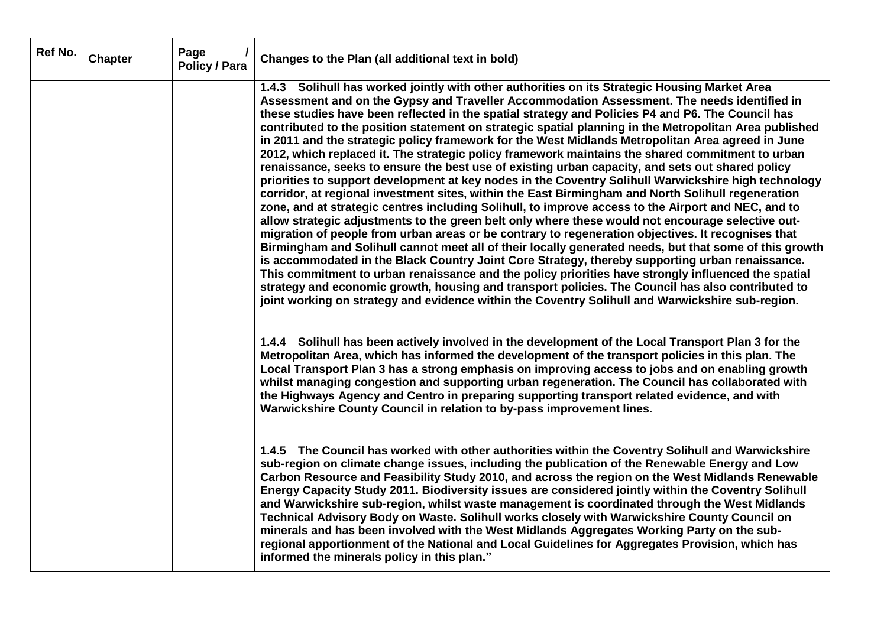| Ref No. | <b>Chapter</b> | Page<br><b>Policy / Para</b> | Changes to the Plan (all additional text in bold)                                                                                                                                                                                                                                                                                                                                                                                                                                                                                                                                                                                                                                                                                                                                                                                                                                                                                                                                                                                                                                                                                                                                                                                                                                                                                                                                                                                                                                                                                                                                                                                                                                                                                                                                     |
|---------|----------------|------------------------------|---------------------------------------------------------------------------------------------------------------------------------------------------------------------------------------------------------------------------------------------------------------------------------------------------------------------------------------------------------------------------------------------------------------------------------------------------------------------------------------------------------------------------------------------------------------------------------------------------------------------------------------------------------------------------------------------------------------------------------------------------------------------------------------------------------------------------------------------------------------------------------------------------------------------------------------------------------------------------------------------------------------------------------------------------------------------------------------------------------------------------------------------------------------------------------------------------------------------------------------------------------------------------------------------------------------------------------------------------------------------------------------------------------------------------------------------------------------------------------------------------------------------------------------------------------------------------------------------------------------------------------------------------------------------------------------------------------------------------------------------------------------------------------------|
|         |                |                              | 1.4.3 Solihull has worked jointly with other authorities on its Strategic Housing Market Area<br>Assessment and on the Gypsy and Traveller Accommodation Assessment. The needs identified in<br>these studies have been reflected in the spatial strategy and Policies P4 and P6. The Council has<br>contributed to the position statement on strategic spatial planning in the Metropolitan Area published<br>in 2011 and the strategic policy framework for the West Midlands Metropolitan Area agreed in June<br>2012, which replaced it. The strategic policy framework maintains the shared commitment to urban<br>renaissance, seeks to ensure the best use of existing urban capacity, and sets out shared policy<br>priorities to support development at key nodes in the Coventry Solihull Warwickshire high technology<br>corridor, at regional investment sites, within the East Birmingham and North Solihull regeneration<br>zone, and at strategic centres including Solihull, to improve access to the Airport and NEC, and to<br>allow strategic adjustments to the green belt only where these would not encourage selective out-<br>migration of people from urban areas or be contrary to regeneration objectives. It recognises that<br>Birmingham and Solihull cannot meet all of their locally generated needs, but that some of this growth<br>is accommodated in the Black Country Joint Core Strategy, thereby supporting urban renaissance.<br>This commitment to urban renaissance and the policy priorities have strongly influenced the spatial<br>strategy and economic growth, housing and transport policies. The Council has also contributed to<br>joint working on strategy and evidence within the Coventry Solihull and Warwickshire sub-region. |
|         |                |                              | 1.4.4 Solihull has been actively involved in the development of the Local Transport Plan 3 for the<br>Metropolitan Area, which has informed the development of the transport policies in this plan. The<br>Local Transport Plan 3 has a strong emphasis on improving access to jobs and on enabling growth<br>whilst managing congestion and supporting urban regeneration. The Council has collaborated with<br>the Highways Agency and Centro in preparing supporting transport related evidence, and with<br>Warwickshire County Council in relation to by-pass improvement lines.                                                                                                                                                                                                                                                                                                                                                                                                                                                                                                                                                                                                                                                                                                                                                                                                                                                                                                                                                                                                                                                                                                                                                                                                 |
|         |                |                              | 1.4.5 The Council has worked with other authorities within the Coventry Solihull and Warwickshire<br>sub-region on climate change issues, including the publication of the Renewable Energy and Low<br>Carbon Resource and Feasibility Study 2010, and across the region on the West Midlands Renewable<br>Energy Capacity Study 2011. Biodiversity issues are considered jointly within the Coventry Solihull<br>and Warwickshire sub-region, whilst waste management is coordinated through the West Midlands<br>Technical Advisory Body on Waste. Solihull works closely with Warwickshire County Council on<br>minerals and has been involved with the West Midlands Aggregates Working Party on the sub-<br>regional apportionment of the National and Local Guidelines for Aggregates Provision, which has<br>informed the minerals policy in this plan."                                                                                                                                                                                                                                                                                                                                                                                                                                                                                                                                                                                                                                                                                                                                                                                                                                                                                                                       |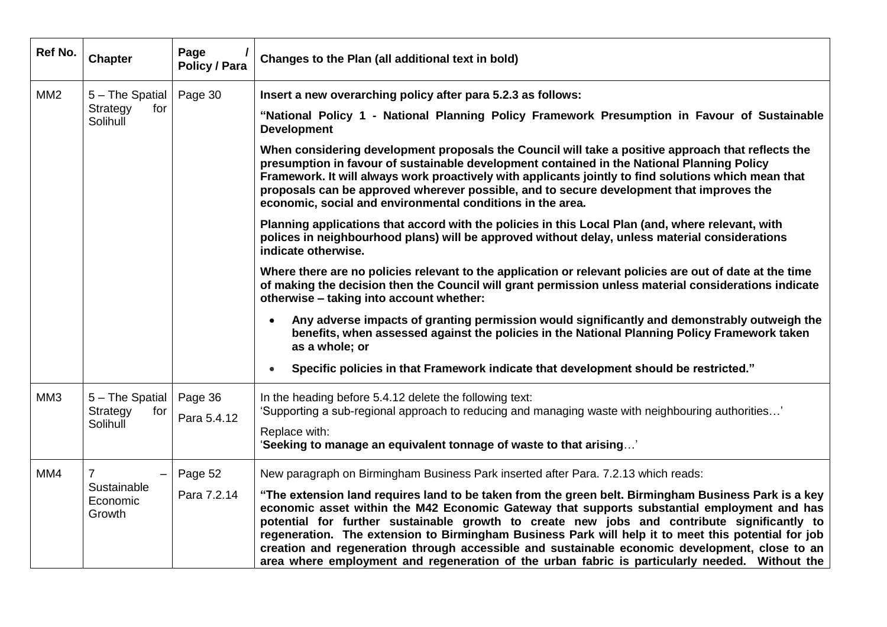| Ref No.         | <b>Chapter</b>                                      | Page<br><b>Policy / Para</b> | Changes to the Plan (all additional text in bold)                                                                                                                                                                                                                                                                                                                                                                                                                                                                                                                                                                                                                                                                                                                                                                                                                                                                                                                                                                                                                                                                                                                                                                                                                                                                                                                                                                                                                                           |
|-----------------|-----------------------------------------------------|------------------------------|---------------------------------------------------------------------------------------------------------------------------------------------------------------------------------------------------------------------------------------------------------------------------------------------------------------------------------------------------------------------------------------------------------------------------------------------------------------------------------------------------------------------------------------------------------------------------------------------------------------------------------------------------------------------------------------------------------------------------------------------------------------------------------------------------------------------------------------------------------------------------------------------------------------------------------------------------------------------------------------------------------------------------------------------------------------------------------------------------------------------------------------------------------------------------------------------------------------------------------------------------------------------------------------------------------------------------------------------------------------------------------------------------------------------------------------------------------------------------------------------|
| MM <sub>2</sub> | 5 - The Spatial<br>Strategy<br>for<br>Solihull      | Page 30                      | Insert a new overarching policy after para 5.2.3 as follows:<br>"National Policy 1 - National Planning Policy Framework Presumption in Favour of Sustainable<br><b>Development</b><br>When considering development proposals the Council will take a positive approach that reflects the<br>presumption in favour of sustainable development contained in the National Planning Policy<br>Framework. It will always work proactively with applicants jointly to find solutions which mean that<br>proposals can be approved wherever possible, and to secure development that improves the<br>economic, social and environmental conditions in the area.<br>Planning applications that accord with the policies in this Local Plan (and, where relevant, with<br>polices in neighbourhood plans) will be approved without delay, unless material considerations<br>indicate otherwise.<br>Where there are no policies relevant to the application or relevant policies are out of date at the time<br>of making the decision then the Council will grant permission unless material considerations indicate<br>otherwise - taking into account whether:<br>Any adverse impacts of granting permission would significantly and demonstrably outweigh the<br>$\bullet$<br>benefits, when assessed against the policies in the National Planning Policy Framework taken<br>as a whole; or<br>Specific policies in that Framework indicate that development should be restricted."<br>$\bullet$ |
| MM <sub>3</sub> | 5 - The Spatial<br>Strategy<br>for<br>Solihull      | Page 36<br>Para 5.4.12       | In the heading before 5.4.12 delete the following text:<br>'Supporting a sub-regional approach to reducing and managing waste with neighbouring authorities'<br>Replace with:<br>'Seeking to manage an equivalent tonnage of waste to that arising'                                                                                                                                                                                                                                                                                                                                                                                                                                                                                                                                                                                                                                                                                                                                                                                                                                                                                                                                                                                                                                                                                                                                                                                                                                         |
| MM4             | $\overline{7}$<br>Sustainable<br>Economic<br>Growth | Page 52<br>Para 7.2.14       | New paragraph on Birmingham Business Park inserted after Para. 7.2.13 which reads:<br>"The extension land requires land to be taken from the green belt. Birmingham Business Park is a key<br>economic asset within the M42 Economic Gateway that supports substantial employment and has<br>potential for further sustainable growth to create new jobs and contribute significantly to<br>regeneration. The extension to Birmingham Business Park will help it to meet this potential for job<br>creation and regeneration through accessible and sustainable economic development, close to an<br>area where employment and regeneration of the urban fabric is particularly needed. Without the                                                                                                                                                                                                                                                                                                                                                                                                                                                                                                                                                                                                                                                                                                                                                                                         |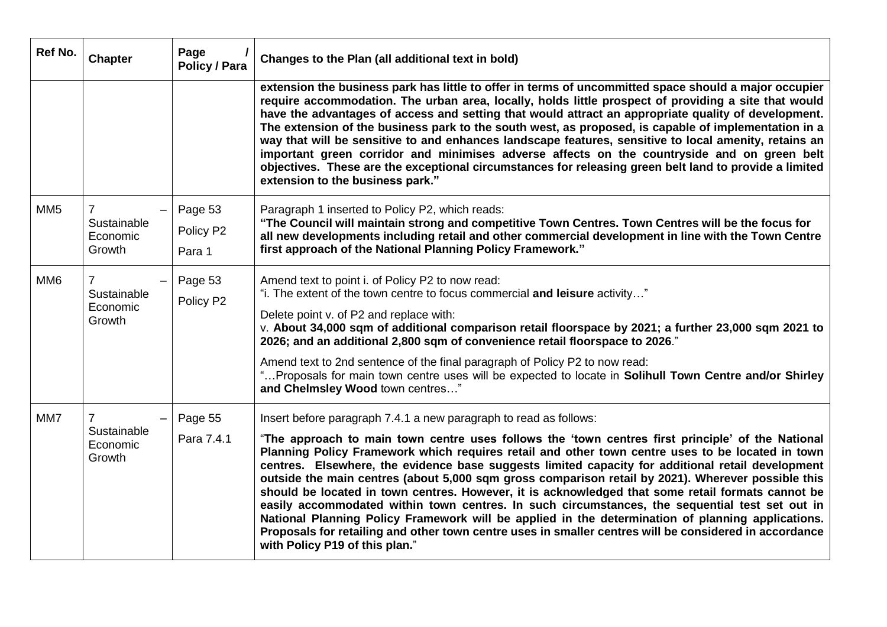| Ref No.         | <b>Chapter</b>                                      | Page<br><b>Policy / Para</b>   | Changes to the Plan (all additional text in bold)                                                                                                                                                                                                                                                                                                                                                                                                                                                                                                                                                                                                                                                                                                                                                                                                                                                                                             |
|-----------------|-----------------------------------------------------|--------------------------------|-----------------------------------------------------------------------------------------------------------------------------------------------------------------------------------------------------------------------------------------------------------------------------------------------------------------------------------------------------------------------------------------------------------------------------------------------------------------------------------------------------------------------------------------------------------------------------------------------------------------------------------------------------------------------------------------------------------------------------------------------------------------------------------------------------------------------------------------------------------------------------------------------------------------------------------------------|
|                 |                                                     |                                | extension the business park has little to offer in terms of uncommitted space should a major occupier<br>require accommodation. The urban area, locally, holds little prospect of providing a site that would<br>have the advantages of access and setting that would attract an appropriate quality of development.<br>The extension of the business park to the south west, as proposed, is capable of implementation in a<br>way that will be sensitive to and enhances landscape features, sensitive to local amenity, retains an<br>important green corridor and minimises adverse affects on the countryside and on green belt<br>objectives. These are the exceptional circumstances for releasing green belt land to provide a limited<br>extension to the business park."                                                                                                                                                            |
| MM <sub>5</sub> | $\overline{7}$<br>Sustainable<br>Economic<br>Growth | Page 53<br>Policy P2<br>Para 1 | Paragraph 1 inserted to Policy P2, which reads:<br>"The Council will maintain strong and competitive Town Centres. Town Centres will be the focus for<br>all new developments including retail and other commercial development in line with the Town Centre<br>first approach of the National Planning Policy Framework."                                                                                                                                                                                                                                                                                                                                                                                                                                                                                                                                                                                                                    |
| MM <sub>6</sub> | $\overline{7}$<br>Sustainable<br>Economic<br>Growth | Page 53<br>Policy P2           | Amend text to point i. of Policy P2 to now read:<br>"i. The extent of the town centre to focus commercial and leisure activity"<br>Delete point v. of P2 and replace with:<br>v. About 34,000 sqm of additional comparison retail floorspace by 2021; a further 23,000 sqm 2021 to<br>2026; and an additional 2,800 sqm of convenience retail floorspace to 2026."<br>Amend text to 2nd sentence of the final paragraph of Policy P2 to now read:<br>" Proposals for main town centre uses will be expected to locate in Solihull Town Centre and/or Shirley<br>and Chelmsley Wood town centres"                                                                                                                                                                                                                                                                                                                                              |
| MM7             | $\overline{7}$<br>Sustainable<br>Economic<br>Growth | Page 55<br>Para 7.4.1          | Insert before paragraph 7.4.1 a new paragraph to read as follows:<br>"The approach to main town centre uses follows the 'town centres first principle' of the National<br>Planning Policy Framework which requires retail and other town centre uses to be located in town<br>centres. Elsewhere, the evidence base suggests limited capacity for additional retail development<br>outside the main centres (about 5,000 sqm gross comparison retail by 2021). Wherever possible this<br>should be located in town centres. However, it is acknowledged that some retail formats cannot be<br>easily accommodated within town centres. In such circumstances, the sequential test set out in<br>National Planning Policy Framework will be applied in the determination of planning applications.<br>Proposals for retailing and other town centre uses in smaller centres will be considered in accordance<br>with Policy P19 of this plan." |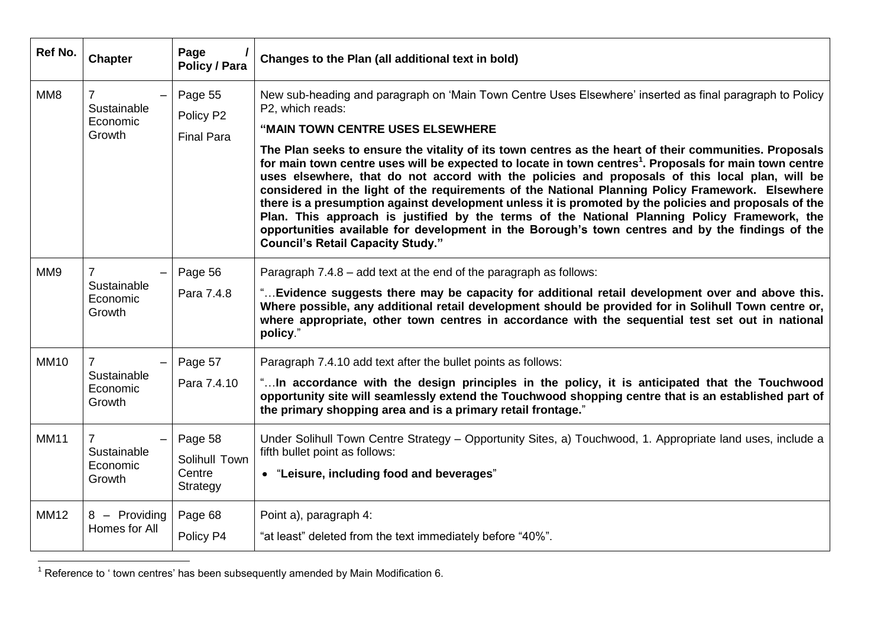| Ref No.         | <b>Chapter</b>                                                | Page<br><b>Policy / Para</b>                   | Changes to the Plan (all additional text in bold)                                                                                                                                                                                                                                                                                                                                                                                                                                                                                                                                                                                                                                                                                                                                                                                                                                                                                                               |
|-----------------|---------------------------------------------------------------|------------------------------------------------|-----------------------------------------------------------------------------------------------------------------------------------------------------------------------------------------------------------------------------------------------------------------------------------------------------------------------------------------------------------------------------------------------------------------------------------------------------------------------------------------------------------------------------------------------------------------------------------------------------------------------------------------------------------------------------------------------------------------------------------------------------------------------------------------------------------------------------------------------------------------------------------------------------------------------------------------------------------------|
| MM8             | $\overline{\phantom{0}}$<br>Sustainable<br>Economic<br>Growth | Page 55<br>Policy P2<br><b>Final Para</b>      | New sub-heading and paragraph on 'Main Town Centre Uses Elsewhere' inserted as final paragraph to Policy<br>P2, which reads:<br>"MAIN TOWN CENTRE USES ELSEWHERE<br>The Plan seeks to ensure the vitality of its town centres as the heart of their communities. Proposals<br>for main town centre uses will be expected to locate in town centres <sup>1</sup> . Proposals for main town centre<br>uses elsewhere, that do not accord with the policies and proposals of this local plan, will be<br>considered in the light of the requirements of the National Planning Policy Framework. Elsewhere<br>there is a presumption against development unless it is promoted by the policies and proposals of the<br>Plan. This approach is justified by the terms of the National Planning Policy Framework, the<br>opportunities available for development in the Borough's town centres and by the findings of the<br><b>Council's Retail Capacity Study."</b> |
| MM <sub>9</sub> | Sustainable<br>Economic<br>Growth                             | Page 56<br>Para 7.4.8                          | Paragraph 7.4.8 - add text at the end of the paragraph as follows:<br>" Evidence suggests there may be capacity for additional retail development over and above this.<br>Where possible, any additional retail development should be provided for in Solihull Town centre or,<br>where appropriate, other town centres in accordance with the sequential test set out in national<br>policy."                                                                                                                                                                                                                                                                                                                                                                                                                                                                                                                                                                  |
| <b>MM10</b>     | Sustainable<br>Economic<br>Growth                             | Page 57<br>Para 7.4.10                         | Paragraph 7.4.10 add text after the bullet points as follows:<br>"In accordance with the design principles in the policy, it is anticipated that the Touchwood<br>opportunity site will seamlessly extend the Touchwood shopping centre that is an established part of<br>the primary shopping area and is a primary retail frontage."                                                                                                                                                                                                                                                                                                                                                                                                                                                                                                                                                                                                                          |
| <b>MM11</b>     | $\overline{7}$<br>Sustainable<br>Economic<br>Growth           | Page 58<br>Solihull Town<br>Centre<br>Strategy | Under Solihull Town Centre Strategy - Opportunity Sites, a) Touchwood, 1. Appropriate land uses, include a<br>fifth bullet point as follows:<br>• "Leisure, including food and beverages"                                                                                                                                                                                                                                                                                                                                                                                                                                                                                                                                                                                                                                                                                                                                                                       |
| <b>MM12</b>     | 8 - Providing<br>Homes for All                                | Page 68<br>Policy P4                           | Point a), paragraph 4:<br>"at least" deleted from the text immediately before "40%".                                                                                                                                                                                                                                                                                                                                                                                                                                                                                                                                                                                                                                                                                                                                                                                                                                                                            |

 $1$  Reference to ' town centres' has been subsequently amended by Main Modification 6.

 $\overline{a}$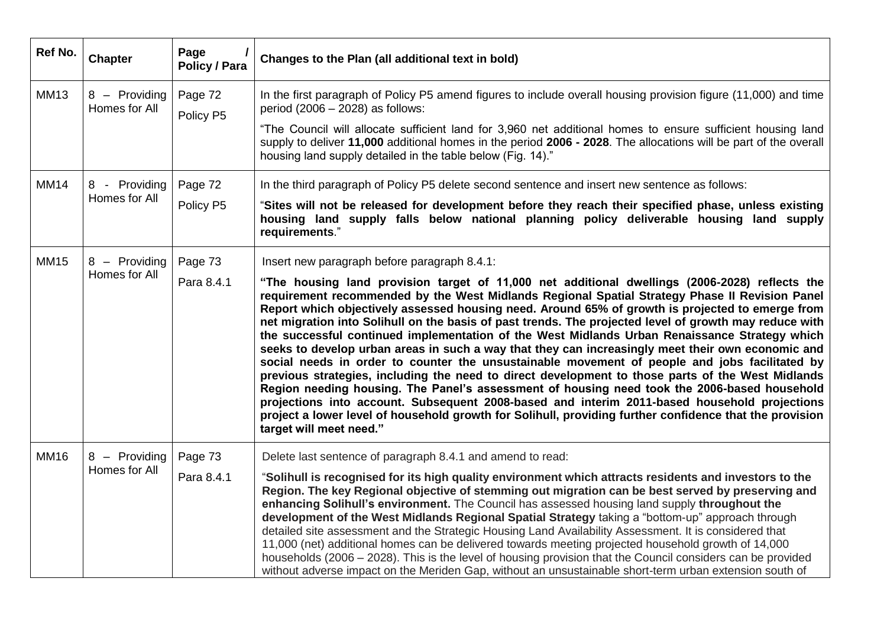| Ref No.     | <b>Chapter</b>                 | Page<br>Policy / Para | Changes to the Plan (all additional text in bold)                                                                                                                                                                                                                                                                                                                                                                                                                                                                                                                                                                                                                                                                                                                                                                                                                                                                                                                                                                                                                                                                                                                |
|-------------|--------------------------------|-----------------------|------------------------------------------------------------------------------------------------------------------------------------------------------------------------------------------------------------------------------------------------------------------------------------------------------------------------------------------------------------------------------------------------------------------------------------------------------------------------------------------------------------------------------------------------------------------------------------------------------------------------------------------------------------------------------------------------------------------------------------------------------------------------------------------------------------------------------------------------------------------------------------------------------------------------------------------------------------------------------------------------------------------------------------------------------------------------------------------------------------------------------------------------------------------|
| <b>MM13</b> | 8 - Providing<br>Homes for All | Page 72<br>Policy P5  | In the first paragraph of Policy P5 amend figures to include overall housing provision figure (11,000) and time<br>period $(2006 - 2028)$ as follows:<br>"The Council will allocate sufficient land for 3,960 net additional homes to ensure sufficient housing land<br>supply to deliver 11,000 additional homes in the period 2006 - 2028. The allocations will be part of the overall                                                                                                                                                                                                                                                                                                                                                                                                                                                                                                                                                                                                                                                                                                                                                                         |
|             |                                |                       | housing land supply detailed in the table below (Fig. 14)."                                                                                                                                                                                                                                                                                                                                                                                                                                                                                                                                                                                                                                                                                                                                                                                                                                                                                                                                                                                                                                                                                                      |
| <b>MM14</b> | 8 - Providing                  | Page 72               | In the third paragraph of Policy P5 delete second sentence and insert new sentence as follows:                                                                                                                                                                                                                                                                                                                                                                                                                                                                                                                                                                                                                                                                                                                                                                                                                                                                                                                                                                                                                                                                   |
|             | Homes for All                  | Policy P5             | Sites will not be released for development before they reach their specified phase, unless existing"<br>housing land supply falls below national planning policy deliverable housing land supply<br>requirements."                                                                                                                                                                                                                                                                                                                                                                                                                                                                                                                                                                                                                                                                                                                                                                                                                                                                                                                                               |
| <b>MM15</b> | 8 - Providing                  | Page 73               | Insert new paragraph before paragraph 8.4.1:                                                                                                                                                                                                                                                                                                                                                                                                                                                                                                                                                                                                                                                                                                                                                                                                                                                                                                                                                                                                                                                                                                                     |
|             | Homes for All                  | Para 8.4.1            | "The housing land provision target of 11,000 net additional dwellings (2006-2028) reflects the<br>requirement recommended by the West Midlands Regional Spatial Strategy Phase II Revision Panel<br>Report which objectively assessed housing need. Around 65% of growth is projected to emerge from<br>net migration into Solihull on the basis of past trends. The projected level of growth may reduce with<br>the successful continued implementation of the West Midlands Urban Renaissance Strategy which<br>seeks to develop urban areas in such a way that they can increasingly meet their own economic and<br>social needs in order to counter the unsustainable movement of people and jobs facilitated by<br>previous strategies, including the need to direct development to those parts of the West Midlands<br>Region needing housing. The Panel's assessment of housing need took the 2006-based household<br>projections into account. Subsequent 2008-based and interim 2011-based household projections<br>project a lower level of household growth for Solihull, providing further confidence that the provision<br>target will meet need." |
| <b>MM16</b> | 8 - Providing<br>Homes for All | Page 73               | Delete last sentence of paragraph 8.4.1 and amend to read:                                                                                                                                                                                                                                                                                                                                                                                                                                                                                                                                                                                                                                                                                                                                                                                                                                                                                                                                                                                                                                                                                                       |
|             |                                | Para 8.4.1            | "Solihull is recognised for its high quality environment which attracts residents and investors to the<br>Region. The key Regional objective of stemming out migration can be best served by preserving and<br>enhancing Solihull's environment. The Council has assessed housing land supply throughout the<br>development of the West Midlands Regional Spatial Strategy taking a "bottom-up" approach through<br>detailed site assessment and the Strategic Housing Land Availability Assessment. It is considered that<br>11,000 (net) additional homes can be delivered towards meeting projected household growth of 14,000<br>households (2006 – 2028). This is the level of housing provision that the Council considers can be provided<br>without adverse impact on the Meriden Gap, without an unsustainable short-term urban extension south of                                                                                                                                                                                                                                                                                                      |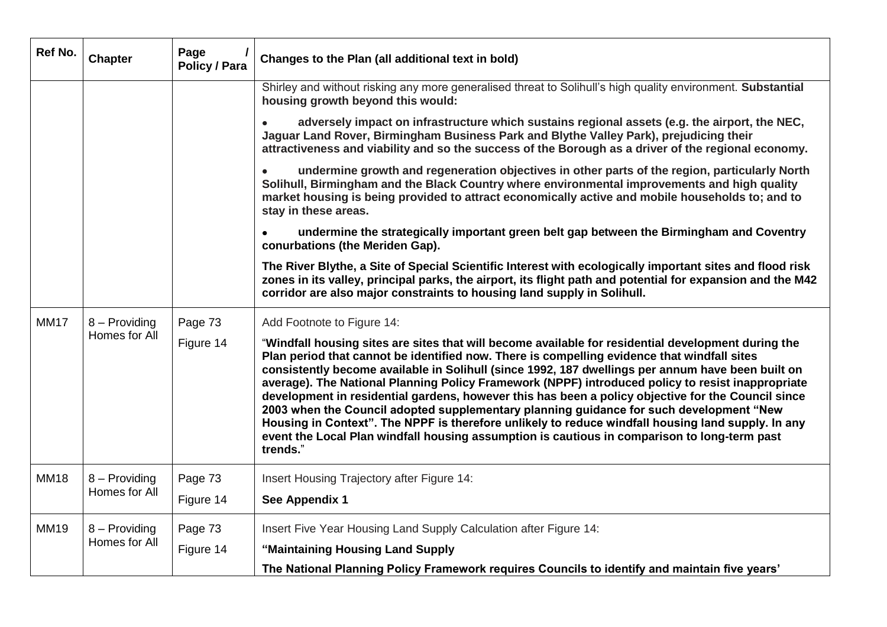| Ref No.     | <b>Chapter</b> | Page<br><b>Policy / Para</b> | Changes to the Plan (all additional text in bold)                                                                                                                                                                                                                                                                                                                                                                                                                                                                                                                                                                                                                                                                                                                                                                               |
|-------------|----------------|------------------------------|---------------------------------------------------------------------------------------------------------------------------------------------------------------------------------------------------------------------------------------------------------------------------------------------------------------------------------------------------------------------------------------------------------------------------------------------------------------------------------------------------------------------------------------------------------------------------------------------------------------------------------------------------------------------------------------------------------------------------------------------------------------------------------------------------------------------------------|
|             |                |                              | Shirley and without risking any more generalised threat to Solihull's high quality environment. Substantial<br>housing growth beyond this would:                                                                                                                                                                                                                                                                                                                                                                                                                                                                                                                                                                                                                                                                                |
|             |                |                              | adversely impact on infrastructure which sustains regional assets (e.g. the airport, the NEC,<br>Jaguar Land Rover, Birmingham Business Park and Blythe Valley Park), prejudicing their<br>attractiveness and viability and so the success of the Borough as a driver of the regional economy.                                                                                                                                                                                                                                                                                                                                                                                                                                                                                                                                  |
|             |                |                              | undermine growth and regeneration objectives in other parts of the region, particularly North<br>$\bullet$<br>Solihull, Birmingham and the Black Country where environmental improvements and high quality<br>market housing is being provided to attract economically active and mobile households to; and to<br>stay in these areas.                                                                                                                                                                                                                                                                                                                                                                                                                                                                                          |
|             |                |                              | undermine the strategically important green belt gap between the Birmingham and Coventry<br>conurbations (the Meriden Gap).                                                                                                                                                                                                                                                                                                                                                                                                                                                                                                                                                                                                                                                                                                     |
|             |                |                              | The River Blythe, a Site of Special Scientific Interest with ecologically important sites and flood risk<br>zones in its valley, principal parks, the airport, its flight path and potential for expansion and the M42<br>corridor are also major constraints to housing land supply in Solihull.                                                                                                                                                                                                                                                                                                                                                                                                                                                                                                                               |
| <b>MM17</b> | 8 - Providing  | Page 73                      | Add Footnote to Figure 14:                                                                                                                                                                                                                                                                                                                                                                                                                                                                                                                                                                                                                                                                                                                                                                                                      |
|             | Homes for All  | Figure 14                    | "Windfall housing sites are sites that will become available for residential development during the<br>Plan period that cannot be identified now. There is compelling evidence that windfall sites<br>consistently become available in Solihull (since 1992, 187 dwellings per annum have been built on<br>average). The National Planning Policy Framework (NPPF) introduced policy to resist inappropriate<br>development in residential gardens, however this has been a policy objective for the Council since<br>2003 when the Council adopted supplementary planning guidance for such development "New<br>Housing in Context". The NPPF is therefore unlikely to reduce windfall housing land supply. In any<br>event the Local Plan windfall housing assumption is cautious in comparison to long-term past<br>trends." |
| <b>MM18</b> | 8 - Providing  | Page 73                      | Insert Housing Trajectory after Figure 14:                                                                                                                                                                                                                                                                                                                                                                                                                                                                                                                                                                                                                                                                                                                                                                                      |
|             | Homes for All  | Figure 14                    | See Appendix 1                                                                                                                                                                                                                                                                                                                                                                                                                                                                                                                                                                                                                                                                                                                                                                                                                  |
| <b>MM19</b> | 8 - Providing  | Page 73                      | Insert Five Year Housing Land Supply Calculation after Figure 14:                                                                                                                                                                                                                                                                                                                                                                                                                                                                                                                                                                                                                                                                                                                                                               |
|             | Homes for All  | Figure 14                    | "Maintaining Housing Land Supply                                                                                                                                                                                                                                                                                                                                                                                                                                                                                                                                                                                                                                                                                                                                                                                                |
|             |                |                              | The National Planning Policy Framework requires Councils to identify and maintain five years'                                                                                                                                                                                                                                                                                                                                                                                                                                                                                                                                                                                                                                                                                                                                   |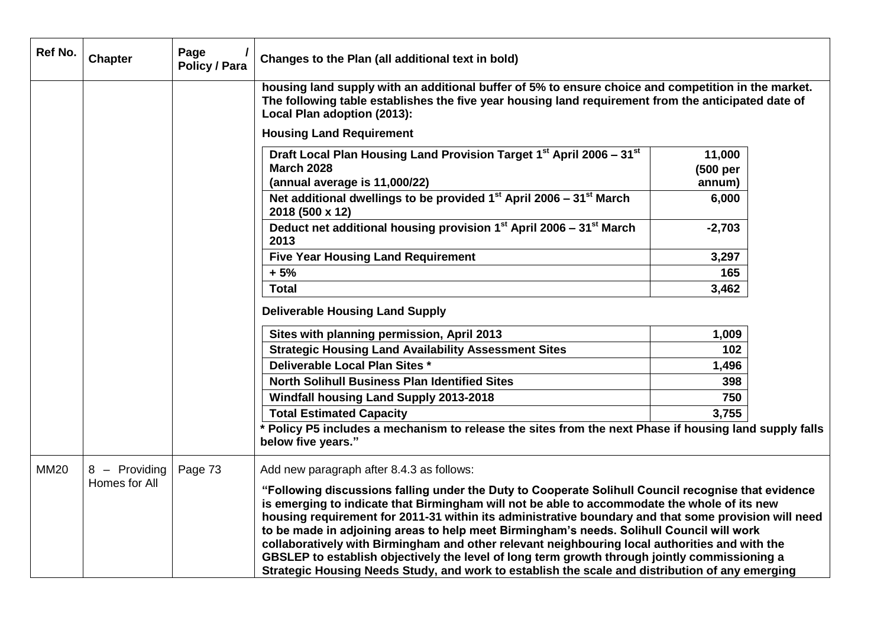| Ref No.     | <b>Chapter</b>                 | Page<br>Policy / Para | Changes to the Plan (all additional text in bold)                                                                                                                                                                                                                                                                                                                                                                                                                                                                                                                                                                                                                                                                                                           |                    |  |
|-------------|--------------------------------|-----------------------|-------------------------------------------------------------------------------------------------------------------------------------------------------------------------------------------------------------------------------------------------------------------------------------------------------------------------------------------------------------------------------------------------------------------------------------------------------------------------------------------------------------------------------------------------------------------------------------------------------------------------------------------------------------------------------------------------------------------------------------------------------------|--------------------|--|
|             |                                |                       | housing land supply with an additional buffer of 5% to ensure choice and competition in the market.<br>The following table establishes the five year housing land requirement from the anticipated date of<br>Local Plan adoption (2013):                                                                                                                                                                                                                                                                                                                                                                                                                                                                                                                   |                    |  |
|             |                                |                       | <b>Housing Land Requirement</b>                                                                                                                                                                                                                                                                                                                                                                                                                                                                                                                                                                                                                                                                                                                             |                    |  |
|             |                                |                       | Draft Local Plan Housing Land Provision Target 1 <sup>st</sup> April 2006 - 31 <sup>st</sup><br><b>March 2028</b>                                                                                                                                                                                                                                                                                                                                                                                                                                                                                                                                                                                                                                           | 11,000<br>(500 per |  |
|             |                                |                       | (annual average is 11,000/22)                                                                                                                                                                                                                                                                                                                                                                                                                                                                                                                                                                                                                                                                                                                               | annum)             |  |
|             |                                |                       | Net additional dwellings to be provided $1st$ April 2006 – $31st$ March<br>2018 (500 x 12)                                                                                                                                                                                                                                                                                                                                                                                                                                                                                                                                                                                                                                                                  | 6,000              |  |
|             |                                |                       | Deduct net additional housing provision 1st April 2006 - 31st March<br>2013                                                                                                                                                                                                                                                                                                                                                                                                                                                                                                                                                                                                                                                                                 | $-2,703$           |  |
|             |                                |                       | <b>Five Year Housing Land Requirement</b>                                                                                                                                                                                                                                                                                                                                                                                                                                                                                                                                                                                                                                                                                                                   | 3,297              |  |
|             |                                |                       | $+5%$                                                                                                                                                                                                                                                                                                                                                                                                                                                                                                                                                                                                                                                                                                                                                       | 165                |  |
|             |                                |                       | <b>Total</b>                                                                                                                                                                                                                                                                                                                                                                                                                                                                                                                                                                                                                                                                                                                                                | 3,462              |  |
|             |                                |                       | <b>Deliverable Housing Land Supply</b>                                                                                                                                                                                                                                                                                                                                                                                                                                                                                                                                                                                                                                                                                                                      |                    |  |
|             |                                |                       | Sites with planning permission, April 2013                                                                                                                                                                                                                                                                                                                                                                                                                                                                                                                                                                                                                                                                                                                  | 1,009              |  |
|             |                                |                       | <b>Strategic Housing Land Availability Assessment Sites</b>                                                                                                                                                                                                                                                                                                                                                                                                                                                                                                                                                                                                                                                                                                 | 102                |  |
|             |                                |                       | Deliverable Local Plan Sites *                                                                                                                                                                                                                                                                                                                                                                                                                                                                                                                                                                                                                                                                                                                              | 1,496              |  |
|             |                                |                       | <b>North Solihull Business Plan Identified Sites</b>                                                                                                                                                                                                                                                                                                                                                                                                                                                                                                                                                                                                                                                                                                        | 398                |  |
|             |                                |                       | <b>Windfall housing Land Supply 2013-2018</b>                                                                                                                                                                                                                                                                                                                                                                                                                                                                                                                                                                                                                                                                                                               | 750                |  |
|             |                                |                       | <b>Total Estimated Capacity</b>                                                                                                                                                                                                                                                                                                                                                                                                                                                                                                                                                                                                                                                                                                                             | 3,755              |  |
|             |                                |                       | * Policy P5 includes a mechanism to release the sites from the next Phase if housing land supply falls                                                                                                                                                                                                                                                                                                                                                                                                                                                                                                                                                                                                                                                      |                    |  |
|             |                                |                       | below five years."                                                                                                                                                                                                                                                                                                                                                                                                                                                                                                                                                                                                                                                                                                                                          |                    |  |
| <b>MM20</b> | 8 - Providing<br>Homes for All | Page 73               | Add new paragraph after 8.4.3 as follows:<br>"Following discussions falling under the Duty to Cooperate Solihull Council recognise that evidence<br>is emerging to indicate that Birmingham will not be able to accommodate the whole of its new<br>housing requirement for 2011-31 within its administrative boundary and that some provision will need<br>to be made in adjoining areas to help meet Birmingham's needs. Solihull Council will work<br>collaboratively with Birmingham and other relevant neighbouring local authorities and with the<br>GBSLEP to establish objectively the level of long term growth through jointly commissioning a<br>Strategic Housing Needs Study, and work to establish the scale and distribution of any emerging |                    |  |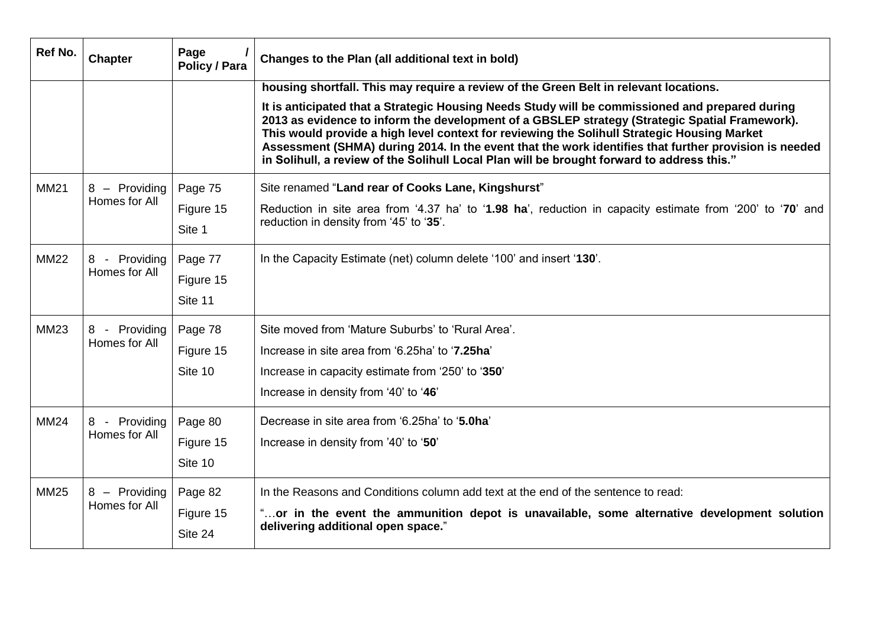| Ref No.     | <b>Chapter</b> | Page<br><b>Policy / Para</b> | Changes to the Plan (all additional text in bold)                                                                                                                                                                                                                                                                                                                                                                                                                                                       |
|-------------|----------------|------------------------------|---------------------------------------------------------------------------------------------------------------------------------------------------------------------------------------------------------------------------------------------------------------------------------------------------------------------------------------------------------------------------------------------------------------------------------------------------------------------------------------------------------|
|             |                |                              | housing shortfall. This may require a review of the Green Belt in relevant locations.                                                                                                                                                                                                                                                                                                                                                                                                                   |
|             |                |                              | It is anticipated that a Strategic Housing Needs Study will be commissioned and prepared during<br>2013 as evidence to inform the development of a GBSLEP strategy (Strategic Spatial Framework).<br>This would provide a high level context for reviewing the Solihull Strategic Housing Market<br>Assessment (SHMA) during 2014. In the event that the work identifies that further provision is needed<br>in Solihull, a review of the Solihull Local Plan will be brought forward to address this." |
| <b>MM21</b> | 8 - Providing  | Page 75                      | Site renamed "Land rear of Cooks Lane, Kingshurst"                                                                                                                                                                                                                                                                                                                                                                                                                                                      |
|             | Homes for All  | Figure 15                    | Reduction in site area from '4.37 ha' to '1.98 ha', reduction in capacity estimate from '200' to '70' and                                                                                                                                                                                                                                                                                                                                                                                               |
|             |                | Site 1                       | reduction in density from '45' to '35'.                                                                                                                                                                                                                                                                                                                                                                                                                                                                 |
| <b>MM22</b> | 8 - Providing  | Page 77                      | In the Capacity Estimate (net) column delete '100' and insert '130'.                                                                                                                                                                                                                                                                                                                                                                                                                                    |
|             | Homes for All  | Figure 15                    |                                                                                                                                                                                                                                                                                                                                                                                                                                                                                                         |
|             |                | Site 11                      |                                                                                                                                                                                                                                                                                                                                                                                                                                                                                                         |
| <b>MM23</b> | 8 - Providing  | Page 78                      | Site moved from 'Mature Suburbs' to 'Rural Area'.                                                                                                                                                                                                                                                                                                                                                                                                                                                       |
|             | Homes for All  | Figure 15                    | Increase in site area from '6.25ha' to '7.25ha'                                                                                                                                                                                                                                                                                                                                                                                                                                                         |
|             |                | Site 10                      | Increase in capacity estimate from '250' to '350'                                                                                                                                                                                                                                                                                                                                                                                                                                                       |
|             |                |                              | Increase in density from '40' to '46'                                                                                                                                                                                                                                                                                                                                                                                                                                                                   |
| <b>MM24</b> | 8 - Providing  | Page 80                      | Decrease in site area from '6.25ha' to '5.0ha'                                                                                                                                                                                                                                                                                                                                                                                                                                                          |
|             | Homes for All  | Figure 15                    | Increase in density from '40' to '50'                                                                                                                                                                                                                                                                                                                                                                                                                                                                   |
|             |                | Site 10                      |                                                                                                                                                                                                                                                                                                                                                                                                                                                                                                         |
| <b>MM25</b> | 8 - Providing  | Page 82                      | In the Reasons and Conditions column add text at the end of the sentence to read:                                                                                                                                                                                                                                                                                                                                                                                                                       |
|             | Homes for All  | Figure 15                    | "or in the event the ammunition depot is unavailable, some alternative development solution                                                                                                                                                                                                                                                                                                                                                                                                             |
|             |                | Site 24                      | delivering additional open space."                                                                                                                                                                                                                                                                                                                                                                                                                                                                      |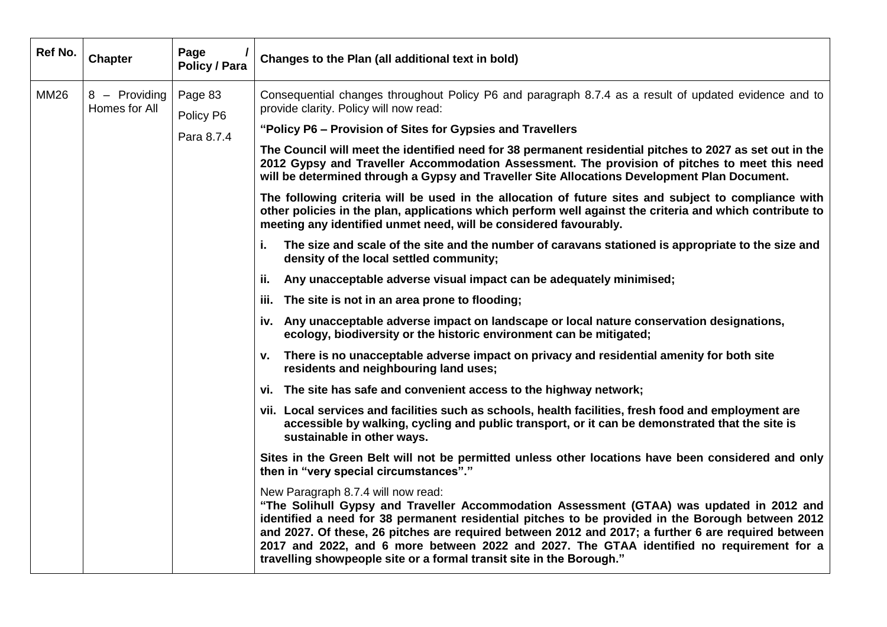| Ref No.     | <b>Chapter</b>                 | Page<br><b>Policy / Para</b> | Changes to the Plan (all additional text in bold)                                                                                                                                                                                                                                                                                                                                                                                                                                                                |
|-------------|--------------------------------|------------------------------|------------------------------------------------------------------------------------------------------------------------------------------------------------------------------------------------------------------------------------------------------------------------------------------------------------------------------------------------------------------------------------------------------------------------------------------------------------------------------------------------------------------|
| <b>MM26</b> | 8 - Providing<br>Homes for All | Page 83<br>Policy P6         | Consequential changes throughout Policy P6 and paragraph 8.7.4 as a result of updated evidence and to<br>provide clarity. Policy will now read:                                                                                                                                                                                                                                                                                                                                                                  |
|             |                                | Para 8.7.4                   | "Policy P6 – Provision of Sites for Gypsies and Travellers                                                                                                                                                                                                                                                                                                                                                                                                                                                       |
|             |                                |                              | The Council will meet the identified need for 38 permanent residential pitches to 2027 as set out in the<br>2012 Gypsy and Traveller Accommodation Assessment. The provision of pitches to meet this need<br>will be determined through a Gypsy and Traveller Site Allocations Development Plan Document.                                                                                                                                                                                                        |
|             |                                |                              | The following criteria will be used in the allocation of future sites and subject to compliance with<br>other policies in the plan, applications which perform well against the criteria and which contribute to<br>meeting any identified unmet need, will be considered favourably.                                                                                                                                                                                                                            |
|             |                                |                              | i.<br>The size and scale of the site and the number of caravans stationed is appropriate to the size and<br>density of the local settled community;                                                                                                                                                                                                                                                                                                                                                              |
|             |                                |                              | ii. Any unacceptable adverse visual impact can be adequately minimised;                                                                                                                                                                                                                                                                                                                                                                                                                                          |
|             |                                |                              | iii. The site is not in an area prone to flooding;                                                                                                                                                                                                                                                                                                                                                                                                                                                               |
|             |                                |                              | iv. Any unacceptable adverse impact on landscape or local nature conservation designations,<br>ecology, biodiversity or the historic environment can be mitigated;                                                                                                                                                                                                                                                                                                                                               |
|             |                                |                              | There is no unacceptable adverse impact on privacy and residential amenity for both site<br>v.<br>residents and neighbouring land uses;                                                                                                                                                                                                                                                                                                                                                                          |
|             |                                |                              | vi. The site has safe and convenient access to the highway network;                                                                                                                                                                                                                                                                                                                                                                                                                                              |
|             |                                |                              | vii. Local services and facilities such as schools, health facilities, fresh food and employment are<br>accessible by walking, cycling and public transport, or it can be demonstrated that the site is<br>sustainable in other ways.                                                                                                                                                                                                                                                                            |
|             |                                |                              | Sites in the Green Belt will not be permitted unless other locations have been considered and only<br>then in "very special circumstances"."                                                                                                                                                                                                                                                                                                                                                                     |
|             |                                |                              | New Paragraph 8.7.4 will now read:<br>"The Solihull Gypsy and Traveller Accommodation Assessment (GTAA) was updated in 2012 and<br>identified a need for 38 permanent residential pitches to be provided in the Borough between 2012<br>and 2027. Of these, 26 pitches are required between 2012 and 2017; a further 6 are required between<br>2017 and 2022, and 6 more between 2022 and 2027. The GTAA identified no requirement for a<br>travelling showpeople site or a formal transit site in the Borough." |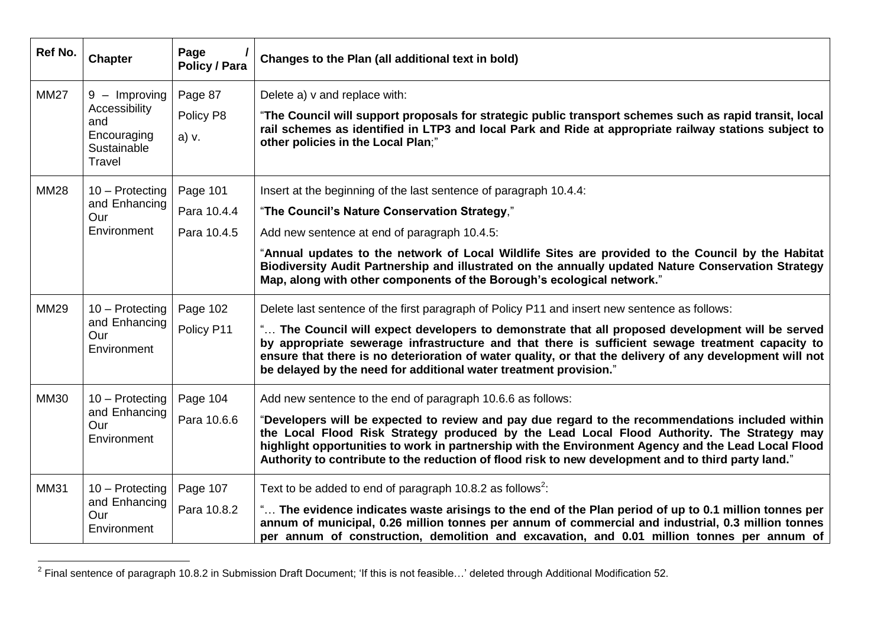| Ref No.     | <b>Chapter</b>                                               | Page<br>Policy / Para | Changes to the Plan (all additional text in bold)                                                                                                                                                                                                                                                                                                                                                            |
|-------------|--------------------------------------------------------------|-----------------------|--------------------------------------------------------------------------------------------------------------------------------------------------------------------------------------------------------------------------------------------------------------------------------------------------------------------------------------------------------------------------------------------------------------|
| <b>MM27</b> | $9 -$ Improving                                              | Page 87               | Delete a) v and replace with:                                                                                                                                                                                                                                                                                                                                                                                |
|             | Accessibility<br>and<br>Encouraging<br>Sustainable<br>Travel | Policy P8<br>a) v.    | "The Council will support proposals for strategic public transport schemes such as rapid transit, local<br>rail schemes as identified in LTP3 and local Park and Ride at appropriate railway stations subject to<br>other policies in the Local Plan;"                                                                                                                                                       |
| <b>MM28</b> | 10 - Protecting                                              | Page 101              | Insert at the beginning of the last sentence of paragraph 10.4.4:                                                                                                                                                                                                                                                                                                                                            |
|             | and Enhancing<br>Our                                         | Para 10.4.4           | "The Council's Nature Conservation Strategy,"                                                                                                                                                                                                                                                                                                                                                                |
|             | Environment                                                  | Para 10.4.5           | Add new sentence at end of paragraph 10.4.5:                                                                                                                                                                                                                                                                                                                                                                 |
|             |                                                              |                       | "Annual updates to the network of Local Wildlife Sites are provided to the Council by the Habitat<br>Biodiversity Audit Partnership and illustrated on the annually updated Nature Conservation Strategy<br>Map, along with other components of the Borough's ecological network."                                                                                                                           |
| <b>MM29</b> | $10 -$ Protecting<br>and Enhancing<br>Our<br>Environment     | Page 102              | Delete last sentence of the first paragraph of Policy P11 and insert new sentence as follows:                                                                                                                                                                                                                                                                                                                |
|             |                                                              | Policy P11            | " The Council will expect developers to demonstrate that all proposed development will be served<br>by appropriate sewerage infrastructure and that there is sufficient sewage treatment capacity to<br>ensure that there is no deterioration of water quality, or that the delivery of any development will not<br>be delayed by the need for additional water treatment provision."                        |
| <b>MM30</b> | 10 - Protecting<br>and Enhancing<br>Our<br>Environment       | Page 104              | Add new sentence to the end of paragraph 10.6.6 as follows:                                                                                                                                                                                                                                                                                                                                                  |
|             |                                                              | Para 10.6.6           | "Developers will be expected to review and pay due regard to the recommendations included within<br>the Local Flood Risk Strategy produced by the Lead Local Flood Authority. The Strategy may<br>highlight opportunities to work in partnership with the Environment Agency and the Lead Local Flood<br>"Authority to contribute to the reduction of flood risk to new development and to third party land. |
| <b>MM31</b> | 10 - Protecting                                              | Page 107              | Text to be added to end of paragraph 10.8.2 as follows <sup>2</sup> :                                                                                                                                                                                                                                                                                                                                        |
|             | and Enhancing<br>Our<br>Environment                          | Para 10.8.2           | " The evidence indicates waste arisings to the end of the Plan period of up to 0.1 million tonnes per<br>annum of municipal, 0.26 million tonnes per annum of commercial and industrial, 0.3 million tonnes<br>per annum of construction, demolition and excavation, and 0.01 million tonnes per annum of                                                                                                    |

 2 Final sentence of paragraph 10.8.2 in Submission Draft Document; "If this is not feasible…" deleted through Additional Modification 52.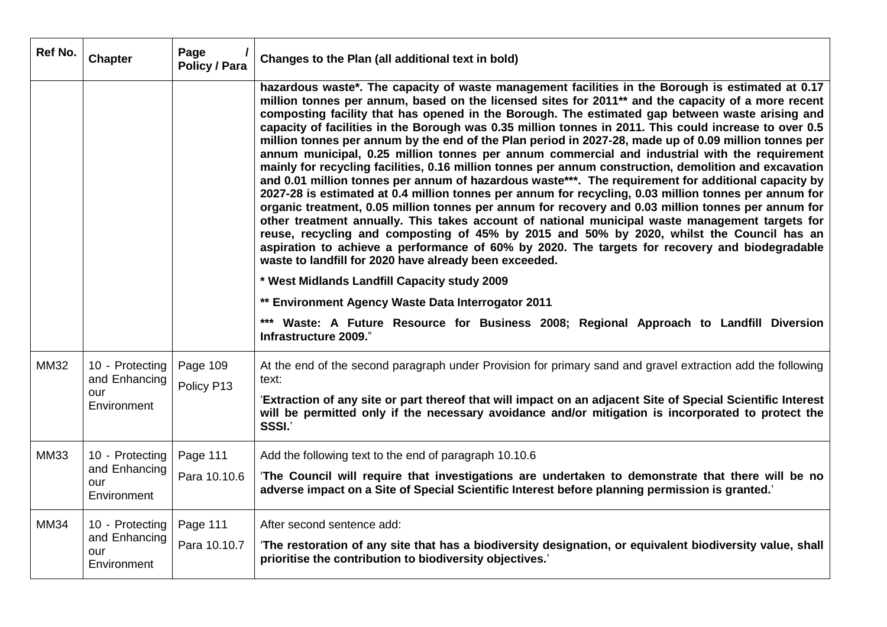| Ref No.     | <b>Chapter</b>                                         | Page<br><b>Policy / Para</b> | Changes to the Plan (all additional text in bold)                                                                                                                                                                                                                                                                                                                                                                                                                                                                                                                                                                                                                                                                                                                                                                                                                                                                                                                                                                                                                                                                                                                                                                                                                                                                                                                                                                           |
|-------------|--------------------------------------------------------|------------------------------|-----------------------------------------------------------------------------------------------------------------------------------------------------------------------------------------------------------------------------------------------------------------------------------------------------------------------------------------------------------------------------------------------------------------------------------------------------------------------------------------------------------------------------------------------------------------------------------------------------------------------------------------------------------------------------------------------------------------------------------------------------------------------------------------------------------------------------------------------------------------------------------------------------------------------------------------------------------------------------------------------------------------------------------------------------------------------------------------------------------------------------------------------------------------------------------------------------------------------------------------------------------------------------------------------------------------------------------------------------------------------------------------------------------------------------|
|             |                                                        |                              | hazardous waste*. The capacity of waste management facilities in the Borough is estimated at 0.17<br>million tonnes per annum, based on the licensed sites for 2011** and the capacity of a more recent<br>composting facility that has opened in the Borough. The estimated gap between waste arising and<br>capacity of facilities in the Borough was 0.35 million tonnes in 2011. This could increase to over 0.5<br>million tonnes per annum by the end of the Plan period in 2027-28, made up of 0.09 million tonnes per<br>annum municipal, 0.25 million tonnes per annum commercial and industrial with the requirement<br>mainly for recycling facilities, 0.16 million tonnes per annum construction, demolition and excavation<br>and 0.01 million tonnes per annum of hazardous waste***. The requirement for additional capacity by<br>2027-28 is estimated at 0.4 million tonnes per annum for recycling, 0.03 million tonnes per annum for<br>organic treatment, 0.05 million tonnes per annum for recovery and 0.03 million tonnes per annum for<br>other treatment annually. This takes account of national municipal waste management targets for<br>reuse, recycling and composting of 45% by 2015 and 50% by 2020, whilst the Council has an<br>aspiration to achieve a performance of 60% by 2020. The targets for recovery and biodegradable<br>waste to landfill for 2020 have already been exceeded. |
|             |                                                        |                              | * West Midlands Landfill Capacity study 2009                                                                                                                                                                                                                                                                                                                                                                                                                                                                                                                                                                                                                                                                                                                                                                                                                                                                                                                                                                                                                                                                                                                                                                                                                                                                                                                                                                                |
|             |                                                        |                              | ** Environment Agency Waste Data Interrogator 2011                                                                                                                                                                                                                                                                                                                                                                                                                                                                                                                                                                                                                                                                                                                                                                                                                                                                                                                                                                                                                                                                                                                                                                                                                                                                                                                                                                          |
|             |                                                        |                              | *** Waste: A Future Resource for Business 2008; Regional Approach to Landfill Diversion<br>Infrastructure 2009."                                                                                                                                                                                                                                                                                                                                                                                                                                                                                                                                                                                                                                                                                                                                                                                                                                                                                                                                                                                                                                                                                                                                                                                                                                                                                                            |
| <b>MM32</b> | 10 - Protecting<br>and Enhancing<br>our<br>Environment | Page 109<br>Policy P13       | At the end of the second paragraph under Provision for primary sand and gravel extraction add the following<br>text:                                                                                                                                                                                                                                                                                                                                                                                                                                                                                                                                                                                                                                                                                                                                                                                                                                                                                                                                                                                                                                                                                                                                                                                                                                                                                                        |
|             |                                                        |                              | 'Extraction of any site or part thereof that will impact on an adjacent Site of Special Scientific Interest<br>will be permitted only if the necessary avoidance and/or mitigation is incorporated to protect the<br>SSSI.'                                                                                                                                                                                                                                                                                                                                                                                                                                                                                                                                                                                                                                                                                                                                                                                                                                                                                                                                                                                                                                                                                                                                                                                                 |
| <b>MM33</b> | 10 - Protecting                                        | Page 111                     | Add the following text to the end of paragraph 10.10.6                                                                                                                                                                                                                                                                                                                                                                                                                                                                                                                                                                                                                                                                                                                                                                                                                                                                                                                                                                                                                                                                                                                                                                                                                                                                                                                                                                      |
|             | and Enhancing<br>our<br>Environment                    | Para 10.10.6                 | The Council will require that investigations are undertaken to demonstrate that there will be no<br>adverse impact on a Site of Special Scientific Interest before planning permission is granted.'                                                                                                                                                                                                                                                                                                                                                                                                                                                                                                                                                                                                                                                                                                                                                                                                                                                                                                                                                                                                                                                                                                                                                                                                                         |
| <b>MM34</b> | 10 - Protecting                                        | Page 111                     | After second sentence add:                                                                                                                                                                                                                                                                                                                                                                                                                                                                                                                                                                                                                                                                                                                                                                                                                                                                                                                                                                                                                                                                                                                                                                                                                                                                                                                                                                                                  |
|             | and Enhancing<br>our<br>Environment                    | Para 10.10.7                 | 'The restoration of any site that has a biodiversity designation, or equivalent biodiversity value, shall<br>prioritise the contribution to biodiversity objectives.'                                                                                                                                                                                                                                                                                                                                                                                                                                                                                                                                                                                                                                                                                                                                                                                                                                                                                                                                                                                                                                                                                                                                                                                                                                                       |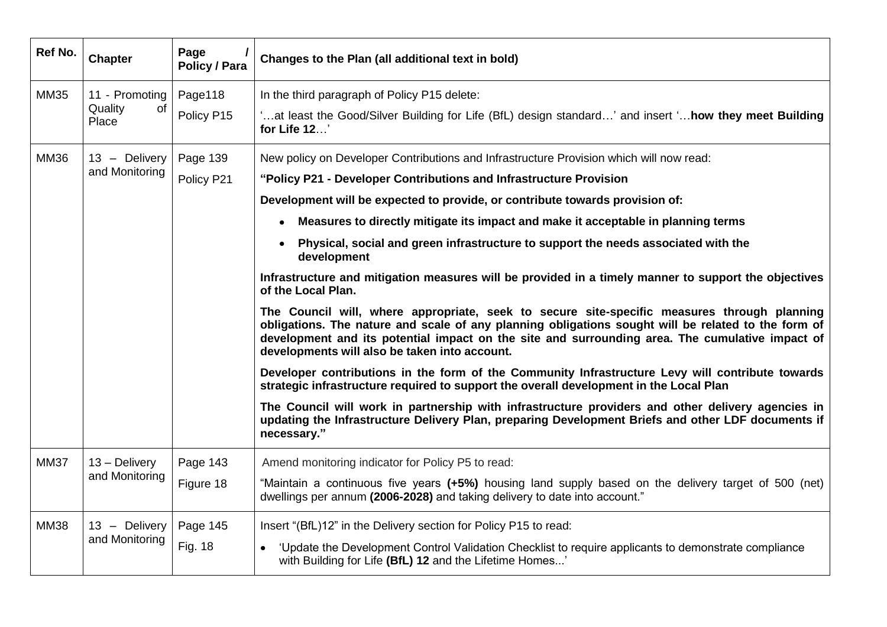| Ref No.     | <b>Chapter</b>                           | Page<br><b>Policy / Para</b> | Changes to the Plan (all additional text in bold)                                                                                                                                                                                                                                                                                                      |  |  |  |
|-------------|------------------------------------------|------------------------------|--------------------------------------------------------------------------------------------------------------------------------------------------------------------------------------------------------------------------------------------------------------------------------------------------------------------------------------------------------|--|--|--|
| <b>MM35</b> | 11 - Promoting<br>Quality<br>of<br>Place | Page118                      | In the third paragraph of Policy P15 delete:                                                                                                                                                                                                                                                                                                           |  |  |  |
|             |                                          | Policy P15                   | at least the Good/Silver Building for Life (BfL) design standard' and insert ' <b>how they meet Building.</b> '<br>for Life 12'                                                                                                                                                                                                                        |  |  |  |
| <b>MM36</b> | 13 - Delivery<br>and Monitoring          | Page 139                     | New policy on Developer Contributions and Infrastructure Provision which will now read:                                                                                                                                                                                                                                                                |  |  |  |
|             |                                          | Policy P21                   | "Policy P21 - Developer Contributions and Infrastructure Provision                                                                                                                                                                                                                                                                                     |  |  |  |
|             |                                          |                              | Development will be expected to provide, or contribute towards provision of:                                                                                                                                                                                                                                                                           |  |  |  |
|             |                                          |                              | Measures to directly mitigate its impact and make it acceptable in planning terms<br>$\bullet$                                                                                                                                                                                                                                                         |  |  |  |
|             |                                          |                              | Physical, social and green infrastructure to support the needs associated with the<br>$\bullet$<br>development                                                                                                                                                                                                                                         |  |  |  |
|             |                                          |                              | Infrastructure and mitigation measures will be provided in a timely manner to support the objectives<br>of the Local Plan.                                                                                                                                                                                                                             |  |  |  |
|             |                                          |                              | The Council will, where appropriate, seek to secure site-specific measures through planning<br>obligations. The nature and scale of any planning obligations sought will be related to the form of<br>development and its potential impact on the site and surrounding area. The cumulative impact of<br>developments will also be taken into account. |  |  |  |
|             |                                          |                              | Developer contributions in the form of the Community Infrastructure Levy will contribute towards<br>strategic infrastructure required to support the overall development in the Local Plan                                                                                                                                                             |  |  |  |
|             |                                          |                              | The Council will work in partnership with infrastructure providers and other delivery agencies in<br>updating the Infrastructure Delivery Plan, preparing Development Briefs and other LDF documents if<br>necessary."                                                                                                                                 |  |  |  |
| <b>MM37</b> | 13 - Delivery<br>and Monitoring          | Page 143                     | Amend monitoring indicator for Policy P5 to read:                                                                                                                                                                                                                                                                                                      |  |  |  |
|             |                                          | Figure 18                    | "Maintain a continuous five years (+5%) housing land supply based on the delivery target of 500 (net)<br>dwellings per annum (2006-2028) and taking delivery to date into account."                                                                                                                                                                    |  |  |  |
| <b>MM38</b> | 13 - Delivery<br>and Monitoring          | Page 145                     | Insert "(BfL)12" in the Delivery section for Policy P15 to read:                                                                                                                                                                                                                                                                                       |  |  |  |
|             |                                          | Fig. 18                      | 'Update the Development Control Validation Checklist to require applicants to demonstrate compliance<br>with Building for Life (BfL) 12 and the Lifetime Homes'                                                                                                                                                                                        |  |  |  |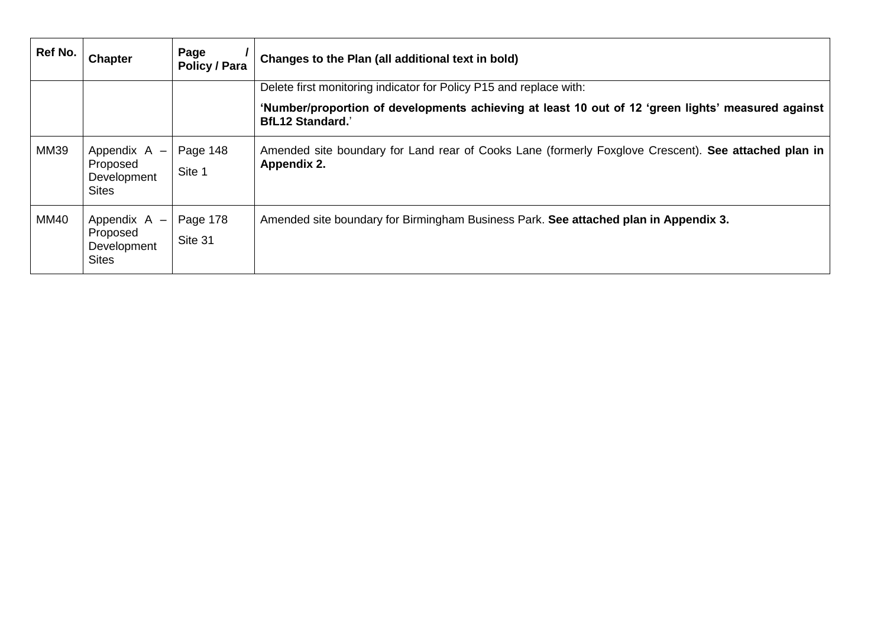| Ref No.     | <b>Chapter</b>                                            | Page<br>Policy / Para | Changes to the Plan (all additional text in bold)                                                                             |  |  |  |
|-------------|-----------------------------------------------------------|-----------------------|-------------------------------------------------------------------------------------------------------------------------------|--|--|--|
|             |                                                           |                       | Delete first monitoring indicator for Policy P15 and replace with:                                                            |  |  |  |
|             |                                                           |                       | 'Number/proportion of developments achieving at least 10 out of 12 'green lights' measured against<br><b>BfL12 Standard.'</b> |  |  |  |
| <b>MM39</b> | Appendix A -<br>Proposed<br>Development<br><b>Sites</b>   | Page 148<br>Site 1    | Amended site boundary for Land rear of Cooks Lane (formerly Foxglove Crescent). See attached plan in<br>Appendix 2.           |  |  |  |
| <b>MM40</b> | Appendix $A -$<br>Proposed<br>Development<br><b>Sites</b> | Page 178<br>Site 31   | Amended site boundary for Birmingham Business Park. See attached plan in Appendix 3.                                          |  |  |  |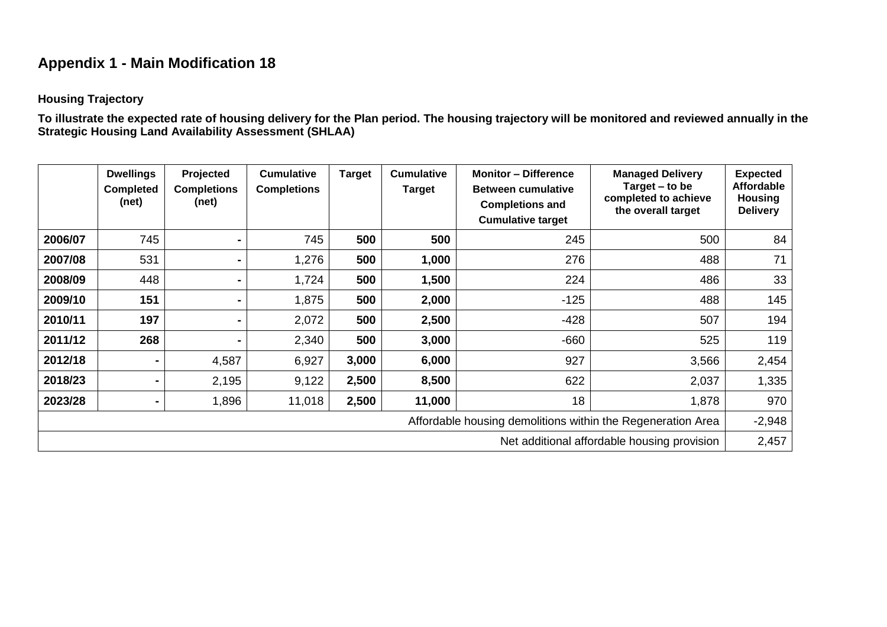# **Appendix 1 - Main Modification 18**

#### **Housing Trajectory**

**To illustrate the expected rate of housing delivery for the Plan period. The housing trajectory will be monitored and reviewed annually in the Strategic Housing Land Availability Assessment (SHLAA)**

|                                                             | <b>Dwellings</b><br><b>Completed</b><br>(net) | Projected<br><b>Completions</b><br>(net) | <b>Cumulative</b><br><b>Completions</b> | <b>Target</b> | <b>Cumulative</b><br><b>Target</b> | <b>Monitor - Difference</b><br><b>Between cumulative</b><br><b>Completions and</b><br><b>Cumulative target</b> | <b>Managed Delivery</b><br>Target $-$ to be<br>completed to achieve<br>the overall target | <b>Expected</b><br><b>Affordable</b><br><b>Housing</b><br><b>Delivery</b> |  |  |
|-------------------------------------------------------------|-----------------------------------------------|------------------------------------------|-----------------------------------------|---------------|------------------------------------|----------------------------------------------------------------------------------------------------------------|-------------------------------------------------------------------------------------------|---------------------------------------------------------------------------|--|--|
| 2006/07                                                     | 745                                           |                                          | 745                                     | 500           | 500                                | 245                                                                                                            | 500                                                                                       | 84                                                                        |  |  |
| 2007/08                                                     | 531                                           |                                          | 1,276                                   | 500           | 1,000                              | 276                                                                                                            | 488                                                                                       | 71                                                                        |  |  |
| 2008/09                                                     | 448                                           | -                                        | 1,724                                   | 500           | 1,500                              | 224                                                                                                            | 486                                                                                       | 33                                                                        |  |  |
| 2009/10                                                     | 151                                           |                                          | 1,875                                   | 500           | 2,000                              | $-125$                                                                                                         | 488                                                                                       | 145                                                                       |  |  |
| 2010/11                                                     | 197                                           |                                          | 2,072                                   | 500           | 2,500                              | $-428$                                                                                                         | 507                                                                                       | 194                                                                       |  |  |
| 2011/12                                                     | 268                                           |                                          | 2,340                                   | 500           | 3,000                              | $-660$                                                                                                         | 525                                                                                       | 119                                                                       |  |  |
| 2012/18                                                     |                                               | 4,587                                    | 6,927                                   | 3,000         | 6,000                              | 927                                                                                                            | 3,566                                                                                     | 2,454                                                                     |  |  |
| 2018/23                                                     |                                               | 2,195                                    | 9,122                                   | 2,500         | 8,500                              | 622                                                                                                            | 2,037                                                                                     | 1,335                                                                     |  |  |
| 2023/28                                                     |                                               | 1,896                                    | 11,018                                  | 2,500         | 11,000                             | 18                                                                                                             | 1,878                                                                                     | 970                                                                       |  |  |
| Affordable housing demolitions within the Regeneration Area |                                               |                                          |                                         |               |                                    |                                                                                                                |                                                                                           |                                                                           |  |  |
| Net additional affordable housing provision                 |                                               |                                          |                                         |               |                                    |                                                                                                                |                                                                                           |                                                                           |  |  |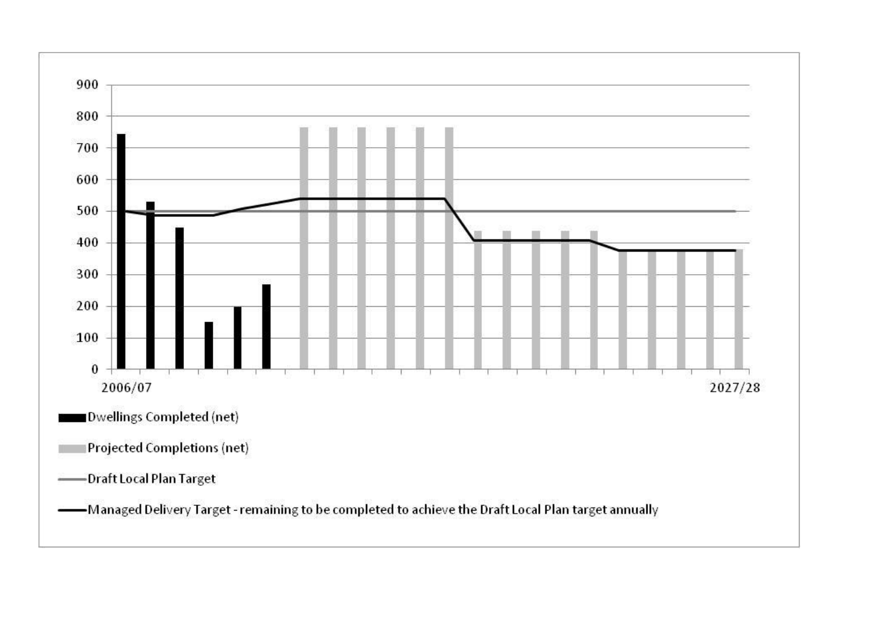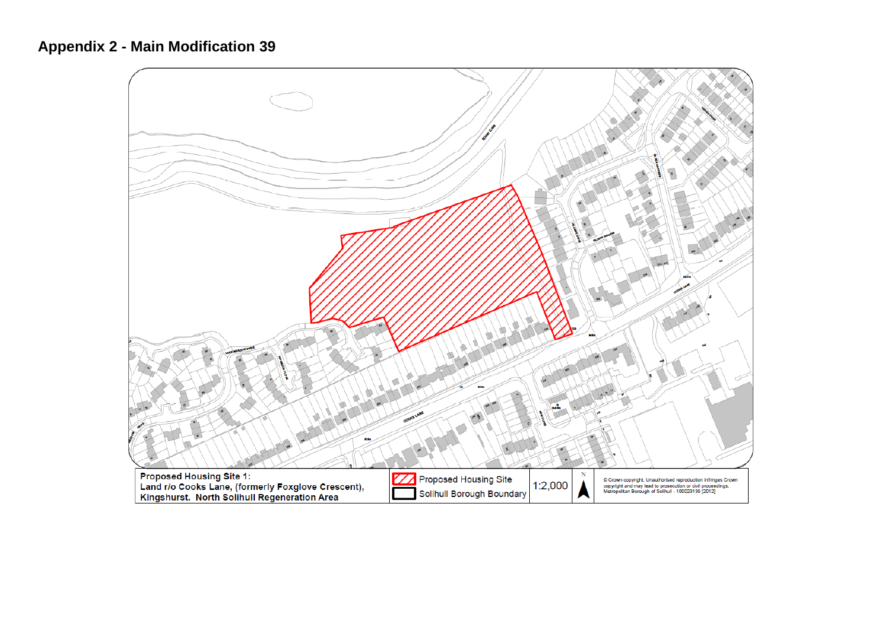